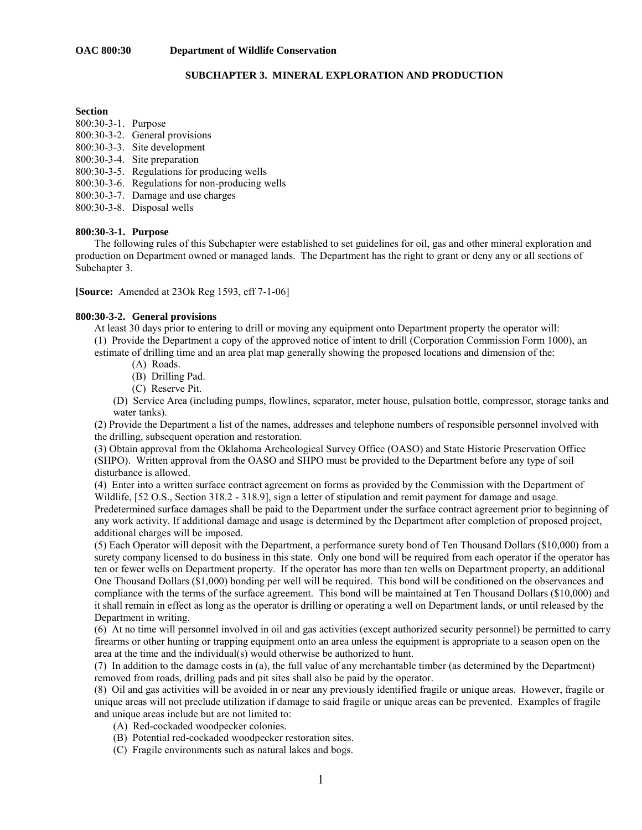## **SUBCHAPTER 3. MINERAL EXPLORATION AND PRODUCTION**

#### **Section**

- 800:30-3-1. Purpose
- 800:30-3-2. General provisions
- 800:30-3-3. Site development
- 800:30-3-4. Site preparation
- 800:30-3-5. Regulations for producing wells
- 800:30-3-6. Regulations for non-producing wells
- 800:30-3-7. Damage and use charges
- 800:30-3-8. Disposal wells

#### **800:30-3-1. Purpose**

 The following rules of this Subchapter were established to set guidelines for oil, gas and other mineral exploration and production on Department owned or managed lands. The Department has the right to grant or deny any or all sections of Subchapter 3.

**[Source:** Amended at 23Ok Reg 1593, eff 7-1-06]

### **800:30-3-2. General provisions**

 At least 30 days prior to entering to drill or moving any equipment onto Department property the operator will: (1) Provide the Department a copy of the approved notice of intent to drill (Corporation Commission Form 1000), an estimate of drilling time and an area plat map generally showing the proposed locations and dimension of the:

- (A) Roads.
- (B) Drilling Pad.
- (C) Reserve Pit.

(D) Service Area (including pumps, flowlines, separator, meter house, pulsation bottle, compressor, storage tanks and water tanks).

(2) Provide the Department a list of the names, addresses and telephone numbers of responsible personnel involved with the drilling, subsequent operation and restoration.

(3) Obtain approval from the Oklahoma Archeological Survey Office (OASO) and State Historic Preservation Office (SHPO). Written approval from the OASO and SHPO must be provided to the Department before any type of soil disturbance is allowed.

(4) Enter into a written surface contract agreement on forms as provided by the Commission with the Department of Wildlife, [52 O.S., Section 318.2 - 318.9], sign a letter of stipulation and remit payment for damage and usage. Predetermined surface damages shall be paid to the Department under the surface contract agreement prior to beginning of any work activity. If additional damage and usage is determined by the Department after completion of proposed project, additional charges will be imposed.

(5) Each Operator will deposit with the Department, a performance surety bond of Ten Thousand Dollars (\$10,000) from a surety company licensed to do business in this state. Only one bond will be required from each operator if the operator has ten or fewer wells on Department property. If the operator has more than ten wells on Department property, an additional One Thousand Dollars (\$1,000) bonding per well will be required. This bond will be conditioned on the observances and compliance with the terms of the surface agreement. This bond will be maintained at Ten Thousand Dollars (\$10,000) and it shall remain in effect as long as the operator is drilling or operating a well on Department lands, or until released by the Department in writing.

(6) At no time will personnel involved in oil and gas activities (except authorized security personnel) be permitted to carry firearms or other hunting or trapping equipment onto an area unless the equipment is appropriate to a season open on the area at the time and the individual(s) would otherwise be authorized to hunt.

(7) In addition to the damage costs in (a), the full value of any merchantable timber (as determined by the Department) removed from roads, drilling pads and pit sites shall also be paid by the operator.

(8) Oil and gas activities will be avoided in or near any previously identified fragile or unique areas. However, fragile or unique areas will not preclude utilization if damage to said fragile or unique areas can be prevented. Examples of fragile and unique areas include but are not limited to:

- (A) Red-cockaded woodpecker colonies.
- (B) Potential red-cockaded woodpecker restoration sites.
- (C) Fragile environments such as natural lakes and bogs.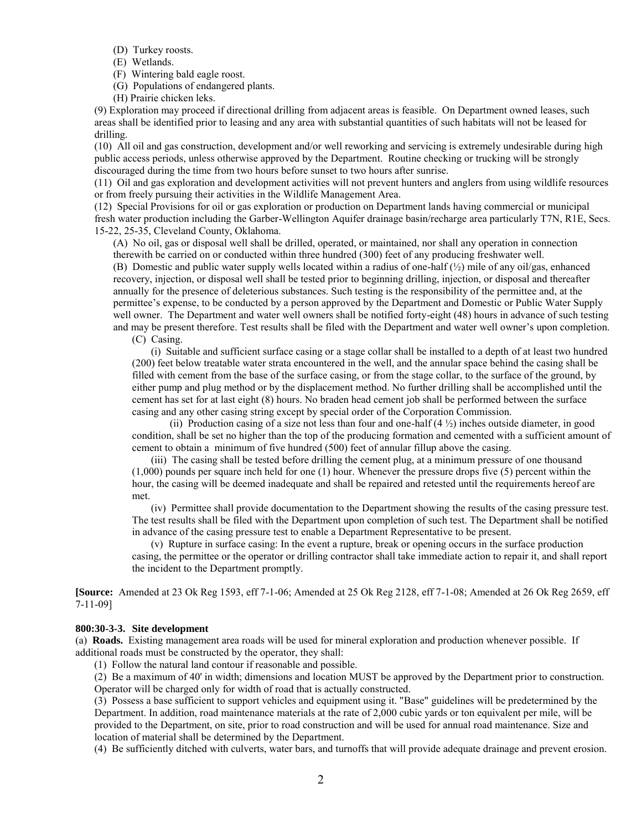- (D) Turkey roosts.
- (E) Wetlands.
- (F) Wintering bald eagle roost.

(G) Populations of endangered plants.

(H) Prairie chicken leks.

(9) Exploration may proceed if directional drilling from adjacent areas is feasible. On Department owned leases, such areas shall be identified prior to leasing and any area with substantial quantities of such habitats will not be leased for drilling.

(10) All oil and gas construction, development and/or well reworking and servicing is extremely undesirable during high public access periods, unless otherwise approved by the Department. Routine checking or trucking will be strongly discouraged during the time from two hours before sunset to two hours after sunrise.

(11) Oil and gas exploration and development activities will not prevent hunters and anglers from using wildlife resources or from freely pursuing their activities in the Wildlife Management Area.

(12) Special Provisions for oil or gas exploration or production on Department lands having commercial or municipal fresh water production including the Garber-Wellington Aquifer drainage basin/recharge area particularly T7N, R1E, Secs. 15-22, 25-35, Cleveland County, Oklahoma.

(A) No oil, gas or disposal well shall be drilled, operated, or maintained, nor shall any operation in connection therewith be carried on or conducted within three hundred (300) feet of any producing freshwater well.

(B) Domestic and public water supply wells located within a radius of one-half  $(\frac{1}{2})$  mile of any oil/gas, enhanced recovery, injection, or disposal well shall be tested prior to beginning drilling, injection, or disposal and thereafter annually for the presence of deleterious substances. Such testing is the responsibility of the permittee and, at the permittee's expense, to be conducted by a person approved by the Department and Domestic or Public Water Supply well owner. The Department and water well owners shall be notified forty-eight (48) hours in advance of such testing and may be present therefore. Test results shall be filed with the Department and water well owner's upon completion.

(C) Casing.

 (i) Suitable and sufficient surface casing or a stage collar shall be installed to a depth of at least two hundred (200) feet below treatable water strata encountered in the well, and the annular space behind the casing shall be filled with cement from the base of the surface casing, or from the stage collar, to the surface of the ground, by either pump and plug method or by the displacement method. No further drilling shall be accomplished until the cement has set for at last eight (8) hours. No braden head cement job shall be performed between the surface casing and any other casing string except by special order of the Corporation Commission.

(ii) Production casing of a size not less than four and one-half  $(4 \frac{1}{2})$  inches outside diameter, in good condition, shall be set no higher than the top of the producing formation and cemented with a sufficient amount of cement to obtain a minimum of five hundred (500) feet of annular fillup above the casing.

 (iii) The casing shall be tested before drilling the cement plug, at a minimum pressure of one thousand (1,000) pounds per square inch held for one (1) hour. Whenever the pressure drops five (5) percent within the hour, the casing will be deemed inadequate and shall be repaired and retested until the requirements hereof are met.

 (iv) Permittee shall provide documentation to the Department showing the results of the casing pressure test. The test results shall be filed with the Department upon completion of such test. The Department shall be notified in advance of the casing pressure test to enable a Department Representative to be present.

 (v) Rupture in surface casing: In the event a rupture, break or opening occurs in the surface production casing, the permittee or the operator or drilling contractor shall take immediate action to repair it, and shall report the incident to the Department promptly.

**[Source:** Amended at 23 Ok Reg 1593, eff 7-1-06; Amended at 25 Ok Reg 2128, eff 7-1-08; Amended at 26 Ok Reg 2659, eff 7-11-09]

#### **800:30-3-3. Site development**

(a) **Roads.** Existing management area roads will be used for mineral exploration and production whenever possible. If additional roads must be constructed by the operator, they shall:

(1) Follow the natural land contour if reasonable and possible.

(2) Be a maximum of 40' in width; dimensions and location MUST be approved by the Department prior to construction. Operator will be charged only for width of road that is actually constructed.

(3) Possess a base sufficient to support vehicles and equipment using it. "Base" guidelines will be predetermined by the Department. In addition, road maintenance materials at the rate of 2,000 cubic yards or ton equivalent per mile, will be provided to the Department, on site, prior to road construction and will be used for annual road maintenance. Size and location of material shall be determined by the Department.

(4) Be sufficiently ditched with culverts, water bars, and turnoffs that will provide adequate drainage and prevent erosion.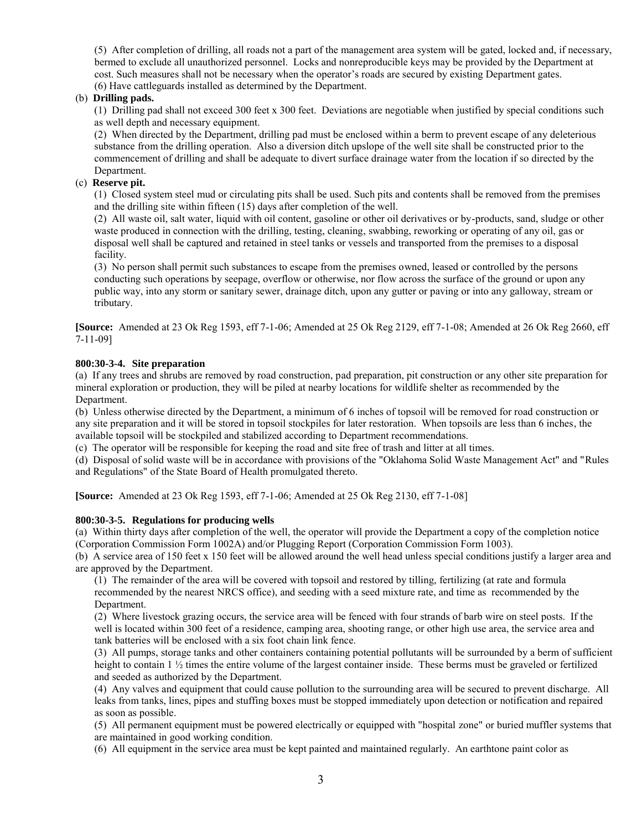(5) After completion of drilling, all roads not a part of the management area system will be gated, locked and, if necessary, bermed to exclude all unauthorized personnel. Locks and nonreproducible keys may be provided by the Department at cost. Such measures shall not be necessary when the operator's roads are secured by existing Department gates. (6) Have cattleguards installed as determined by the Department.

## (b) **Drilling pads.**

(1) Drilling pad shall not exceed 300 feet x 300 feet. Deviations are negotiable when justified by special conditions such as well depth and necessary equipment.

(2) When directed by the Department, drilling pad must be enclosed within a berm to prevent escape of any deleterious substance from the drilling operation. Also a diversion ditch upslope of the well site shall be constructed prior to the commencement of drilling and shall be adequate to divert surface drainage water from the location if so directed by the Department.

## (c) **Reserve pit.**

(1) Closed system steel mud or circulating pits shall be used. Such pits and contents shall be removed from the premises and the drilling site within fifteen (15) days after completion of the well.

(2) All waste oil, salt water, liquid with oil content, gasoline or other oil derivatives or by-products, sand, sludge or other waste produced in connection with the drilling, testing, cleaning, swabbing, reworking or operating of any oil, gas or disposal well shall be captured and retained in steel tanks or vessels and transported from the premises to a disposal facility.

(3) No person shall permit such substances to escape from the premises owned, leased or controlled by the persons conducting such operations by seepage, overflow or otherwise, nor flow across the surface of the ground or upon any public way, into any storm or sanitary sewer, drainage ditch, upon any gutter or paving or into any galloway, stream or tributary.

**[Source:** Amended at 23 Ok Reg 1593, eff 7-1-06; Amended at 25 Ok Reg 2129, eff 7-1-08; Amended at 26 Ok Reg 2660, eff 7-11-09]

### **800:30-3-4. Site preparation**

(a) If any trees and shrubs are removed by road construction, pad preparation, pit construction or any other site preparation for mineral exploration or production, they will be piled at nearby locations for wildlife shelter as recommended by the Department.

(b) Unless otherwise directed by the Department, a minimum of 6 inches of topsoil will be removed for road construction or any site preparation and it will be stored in topsoil stockpiles for later restoration. When topsoils are less than 6 inches, the available topsoil will be stockpiled and stabilized according to Department recommendations.

(c) The operator will be responsible for keeping the road and site free of trash and litter at all times.

(d) Disposal of solid waste will be in accordance with provisions of the "Oklahoma Solid Waste Management Act" and "Rules and Regulations" of the State Board of Health promulgated thereto.

**[Source:** Amended at 23 Ok Reg 1593, eff 7-1-06; Amended at 25 Ok Reg 2130, eff 7-1-08]

### **800:30-3-5. Regulations for producing wells**

(a) Within thirty days after completion of the well, the operator will provide the Department a copy of the completion notice (Corporation Commission Form 1002A) and/or Plugging Report (Corporation Commission Form 1003).

(b) A service area of 150 feet x 150 feet will be allowed around the well head unless special conditions justify a larger area and are approved by the Department.

(1) The remainder of the area will be covered with topsoil and restored by tilling, fertilizing (at rate and formula recommended by the nearest NRCS office), and seeding with a seed mixture rate, and time as recommended by the Department.

(2) Where livestock grazing occurs, the service area will be fenced with four strands of barb wire on steel posts. If the well is located within 300 feet of a residence, camping area, shooting range, or other high use area, the service area and tank batteries will be enclosed with a six foot chain link fence.

(3) All pumps, storage tanks and other containers containing potential pollutants will be surrounded by a berm of sufficient height to contain 1 ½ times the entire volume of the largest container inside. These berms must be graveled or fertilized and seeded as authorized by the Department.

(4) Any valves and equipment that could cause pollution to the surrounding area will be secured to prevent discharge. All leaks from tanks, lines, pipes and stuffing boxes must be stopped immediately upon detection or notification and repaired as soon as possible.

(5) All permanent equipment must be powered electrically or equipped with "hospital zone" or buried muffler systems that are maintained in good working condition.

(6) All equipment in the service area must be kept painted and maintained regularly. An earthtone paint color as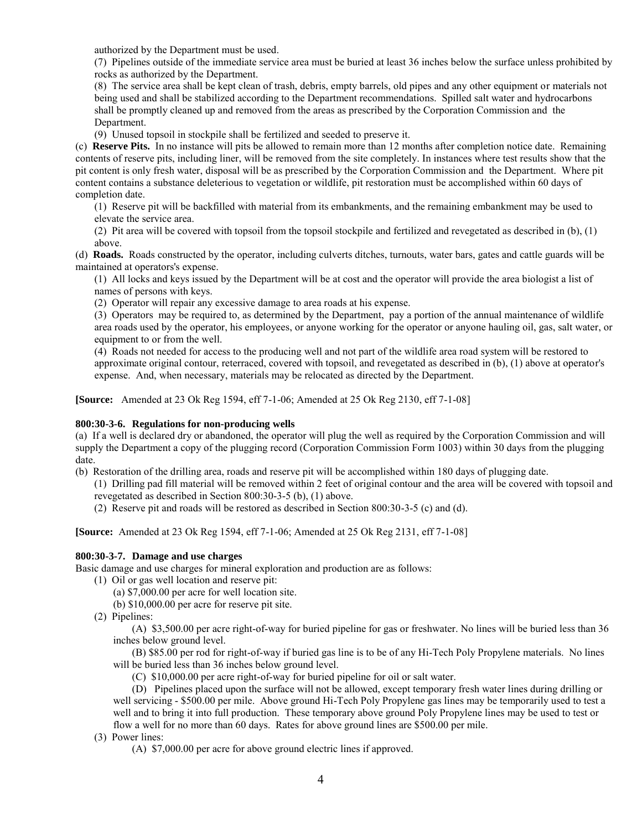authorized by the Department must be used.

(7) Pipelines outside of the immediate service area must be buried at least 36 inches below the surface unless prohibited by rocks as authorized by the Department.

(8) The service area shall be kept clean of trash, debris, empty barrels, old pipes and any other equipment or materials not being used and shall be stabilized according to the Department recommendations. Spilled salt water and hydrocarbons shall be promptly cleaned up and removed from the areas as prescribed by the Corporation Commission and the Department.

(9) Unused topsoil in stockpile shall be fertilized and seeded to preserve it.

(c) **Reserve Pits.** In no instance will pits be allowed to remain more than 12 months after completion notice date. Remaining contents of reserve pits, including liner, will be removed from the site completely. In instances where test results show that the pit content is only fresh water, disposal will be as prescribed by the Corporation Commission and the Department. Where pit content contains a substance deleterious to vegetation or wildlife, pit restoration must be accomplished within 60 days of completion date.

(1) Reserve pit will be backfilled with material from its embankments, and the remaining embankment may be used to elevate the service area.

(2) Pit area will be covered with topsoil from the topsoil stockpile and fertilized and revegetated as described in (b), (1) above.

(d) **Roads.** Roads constructed by the operator, including culverts ditches, turnouts, water bars, gates and cattle guards will be maintained at operators's expense.

(1) All locks and keys issued by the Department will be at cost and the operator will provide the area biologist a list of names of persons with keys.

(2) Operator will repair any excessive damage to area roads at his expense.

(3) Operators may be required to, as determined by the Department, pay a portion of the annual maintenance of wildlife area roads used by the operator, his employees, or anyone working for the operator or anyone hauling oil, gas, salt water, or equipment to or from the well.

(4) Roads not needed for access to the producing well and not part of the wildlife area road system will be restored to approximate original contour, reterraced, covered with topsoil, and revegetated as described in (b), (1) above at operator's expense. And, when necessary, materials may be relocated as directed by the Department.

**[Source:** Amended at 23 Ok Reg 1594, eff 7-1-06; Amended at 25 Ok Reg 2130, eff 7-1-08]

## **800:30-3-6. Regulations for non-producing wells**

(a) If a well is declared dry or abandoned, the operator will plug the well as required by the Corporation Commission and will supply the Department a copy of the plugging record (Corporation Commission Form 1003) within 30 days from the plugging date.

(b) Restoration of the drilling area, roads and reserve pit will be accomplished within 180 days of plugging date.

- (1) Drilling pad fill material will be removed within 2 feet of original contour and the area will be covered with topsoil and revegetated as described in Section 800:30-3-5 (b), (1) above.
- (2) Reserve pit and roads will be restored as described in Section 800:30-3-5 (c) and (d).

**[Source:** Amended at 23 Ok Reg 1594, eff 7-1-06; Amended at 25 Ok Reg 2131, eff 7-1-08]

### **800:30-3-7. Damage and use charges**

Basic damage and use charges for mineral exploration and production are as follows:

- (1) Oil or gas well location and reserve pit:
	- (a) \$7,000.00 per acre for well location site.
	- (b) \$10,000.00 per acre for reserve pit site.
- (2) Pipelines:

 (A) \$3,500.00 per acre right-of-way for buried pipeline for gas or freshwater. No lines will be buried less than 36 inches below ground level.

 (B) \$85.00 per rod for right-of-way if buried gas line is to be of any Hi-Tech Poly Propylene materials. No lines will be buried less than 36 inches below ground level.

(C) \$10,000.00 per acre right-of-way for buried pipeline for oil or salt water.

 (D) Pipelines placed upon the surface will not be allowed, except temporary fresh water lines during drilling or well servicing - \$500.00 per mile. Above ground Hi-Tech Poly Propylene gas lines may be temporarily used to test a well and to bring it into full production. These temporary above ground Poly Propylene lines may be used to test or flow a well for no more than 60 days. Rates for above ground lines are \$500.00 per mile.

- (3) Power lines:
	- (A) \$7,000.00 per acre for above ground electric lines if approved.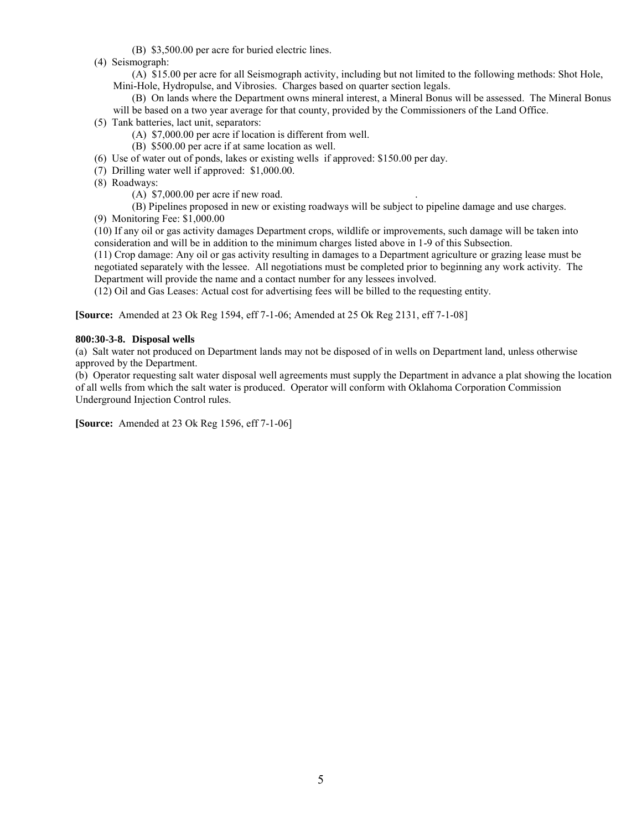(B) \$3,500.00 per acre for buried electric lines.

(4) Seismograph:

 (A) \$15.00 per acre for all Seismograph activity, including but not limited to the following methods: Shot Hole, Mini-Hole, Hydropulse, and Vibrosies. Charges based on quarter section legals.

 (B) On lands where the Department owns mineral interest, a Mineral Bonus will be assessed. The Mineral Bonus will be based on a two year average for that county, provided by the Commissioners of the Land Office.

- (5) Tank batteries, lact unit, separators:
	- (A) \$7,000.00 per acre if location is different from well.
	- (B) \$500.00 per acre if at same location as well.
- (6) Use of water out of ponds, lakes or existing wells if approved: \$150.00 per day.
- (7) Drilling water well if approved: \$1,000.00.
- (8) Roadways:
	- (A)  $$7,000.00$  per acre if new road.

(B) Pipelines proposed in new or existing roadways will be subject to pipeline damage and use charges.

(9) Monitoring Fee: \$1,000.00

(10) If any oil or gas activity damages Department crops, wildlife or improvements, such damage will be taken into consideration and will be in addition to the minimum charges listed above in 1-9 of this Subsection.

(11) Crop damage: Any oil or gas activity resulting in damages to a Department agriculture or grazing lease must be negotiated separately with the lessee. All negotiations must be completed prior to beginning any work activity. The Department will provide the name and a contact number for any lessees involved.

(12) Oil and Gas Leases: Actual cost for advertising fees will be billed to the requesting entity.

**[Source:** Amended at 23 Ok Reg 1594, eff 7-1-06; Amended at 25 Ok Reg 2131, eff 7-1-08]

## **800:30-3-8. Disposal wells**

(a) Salt water not produced on Department lands may not be disposed of in wells on Department land, unless otherwise approved by the Department.

(b) Operator requesting salt water disposal well agreements must supply the Department in advance a plat showing the location of all wells from which the salt water is produced. Operator will conform with Oklahoma Corporation Commission Underground Injection Control rules.

**[Source:** Amended at 23 Ok Reg 1596, eff 7-1-06]